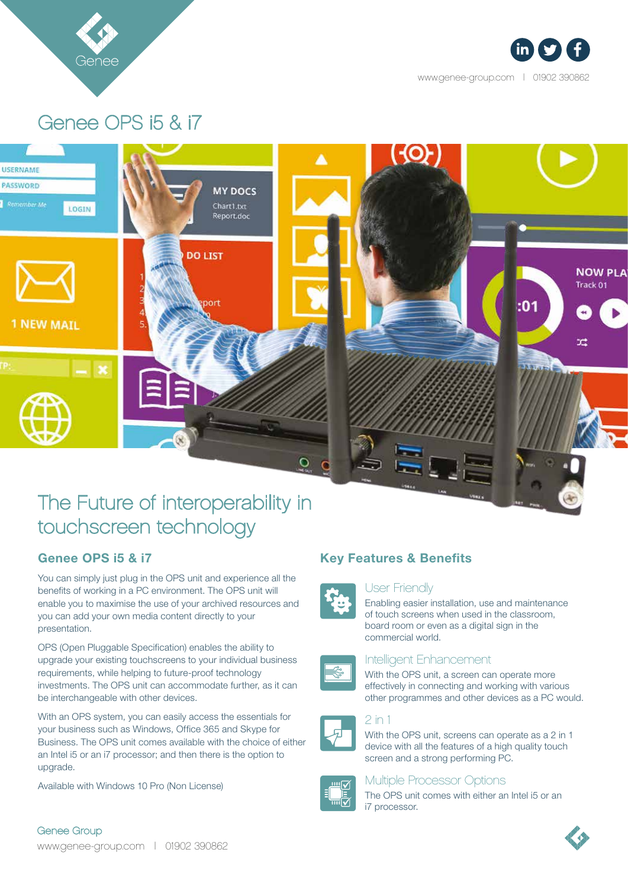



www.genee-group.com | 01902 390862

# Genee OPS i5 & i7



## The Future of interoperability in touchscreen technology

## Genee OPS i5 & i7

You can simply just plug in the OPS unit and experience all the benefits of working in a PC environment. The OPS unit will enable you to maximise the use of your archived resources and you can add your own media content directly to your presentation.

OPS (Open Pluggable Specification) enables the ability to upgrade your existing touchscreens to your individual business requirements, while helping to future-proof technology investments. The OPS unit can accommodate further, as it can be interchangeable with other devices.

With an OPS system, you can easily access the essentials for your business such as Windows, Office 365 and Skype for Business. The OPS unit comes available with the choice of either an Intel i5 or an i7 processor; and then there is the option to upgrade.

Available with Windows 10 Pro (Non License)



#### User Friendly



Enabling easier installation, use and maintenance of touch screens when used in the classroom, board room or even as a digital sign in the commercial world.



#### Intelligent Enhancement

With the OPS unit, a screen can operate more effectively in connecting and working with various other programmes and other devices as a PC would.

### 2 in 1

With the OPS unit, screens can operate as a 2 in 1 device with all the features of a high quality touch screen and a strong performing PC.



#### Multiple Processor Options

The OPS unit comes with either an Intel i5 or an i7 processor.